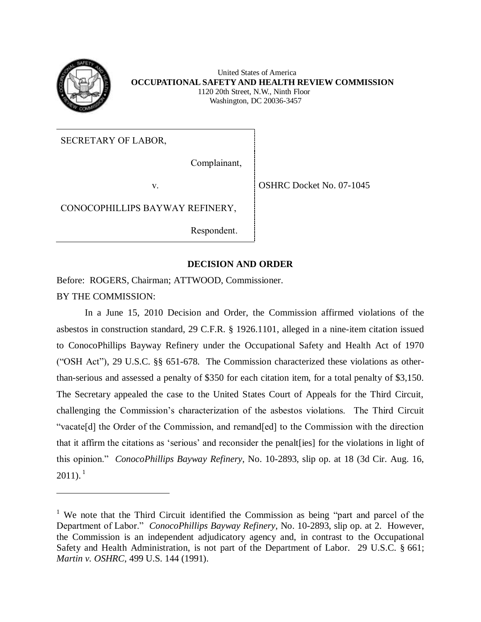

 **OCCUPATIONAL SAFETY AND HEALTH REVIEW COMMISSION**  United States of America 1120 20th Street, N.W., Ninth Floor Washington, DC 20036-3457

SECRETARY OF LABOR,

Complainant,

v. OSHRC Docket No. 07-1045

## CONOCOPHILLIPS BAYWAY REFINERY,

Respondent.

## **DECISION AND ORDER**

 Before: ROGERS, Chairman; ATTWOOD, Commissioner. BY THE COMMISSION:

 In a June 15, 2010 Decision and Order, the Commission affirmed violations of the asbestos in construction standard, 29 C.F.R. § 1926.1101, alleged in a nine-item citation issued to ConocoPhillips Bayway Refinery under the Occupational Safety and Health Act of 1970 ("OSH Act"), 29 U.S.C. §§ 651-678. The Commission characterized these violations as other- than-serious and assessed a penalty of \$350 for each citation item, for a total penalty of \$3,150. The Secretary appealed the case to the United States Court of Appeals for the Third Circuit, challenging the Commission's characterization of the asbestos violations. The Third Circuit "vacate[d] the Order of the Commission, and remand[ed] to the Commission with the direction that it affirm the citations as 'serious' and reconsider the penalt[ies] for the violations in light of this opinion." *ConocoPhillips Bayway Refinery*, No. 10-2893, slip op. at 18 (3d Cir. Aug. 16,  $2011$ ).<sup>1</sup>

<sup>&</sup>lt;sup>1</sup> We note that the Third Circuit identified the Commission as being "part and parcel of the Department of Labor." *ConocoPhillips Bayway Refinery*, No. 10-2893, slip op. at 2. However, the Commission is an independent adjudicatory agency and, in contrast to the Occupational Safety and Health Administration, is not part of the Department of Labor. 29 U.S.C. § 661; *Martin v. OSHRC*, 499 U.S. 144 (1991).